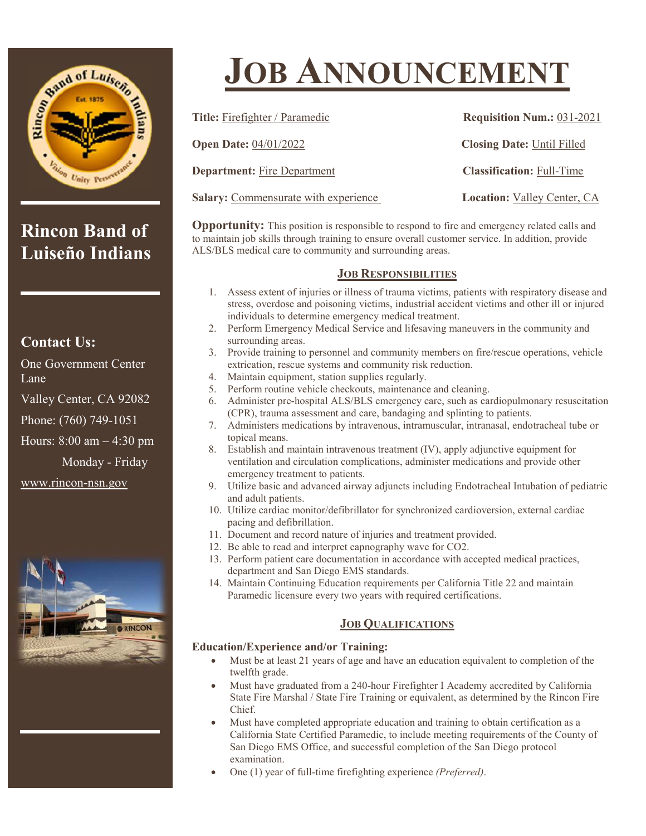

# **Rincon Band of Luiseño Indians**

### **Contact Us:**

One Government Center Lane

Valley Center, CA 92082

Phone: (760) 749-1051

Hours: 8:00 am – 4:30 pm

Monday - Friday

www.rincon-nsn.gov



# **JOB ANNOUNCEMENT**

| <b>Title:</b> Firefighter / Paramedic       | <b>Requisition Num.: 031-2021</b>  |
|---------------------------------------------|------------------------------------|
| <b>Open Date: 04/01/2022</b>                | <b>Closing Date: Until Filled</b>  |
| <b>Department:</b> Fire Department          | <b>Classification: Full-Time</b>   |
| <b>Salary:</b> Commensurate with experience | <b>Location:</b> Valley Center, CA |

**Opportunity:** This position is responsible to respond to fire and emergency related calls and to maintain job skills through training to ensure overall customer service. In addition, provide ALS/BLS medical care to community and surrounding areas.

#### **JOB RESPONSIBILITIES**

- 1. Assess extent of injuries or illness of trauma victims, patients with respiratory disease and stress, overdose and poisoning victims, industrial accident victims and other ill or injured individuals to determine emergency medical treatment.
- 2. Perform Emergency Medical Service and lifesaving maneuvers in the community and surrounding areas.
- 3. Provide training to personnel and community members on fire/rescue operations, vehicle extrication, rescue systems and community risk reduction.
- 4. Maintain equipment, station supplies regularly.
- 5. Perform routine vehicle checkouts, maintenance and cleaning.
- 6. Administer pre-hospital ALS/BLS emergency care, such as cardiopulmonary resuscitation (CPR), trauma assessment and care, bandaging and splinting to patients.
- 7. Administers medications by intravenous, intramuscular, intranasal, endotracheal tube or topical means.
- 8. Establish and maintain intravenous treatment (IV), apply adjunctive equipment for ventilation and circulation complications, administer medications and provide other emergency treatment to patients.
- 9. Utilize basic and advanced airway adjuncts including Endotracheal Intubation of pediatric and adult patients.
- 10. Utilize cardiac monitor/defibrillator for synchronized cardioversion, external cardiac pacing and defibrillation.
- 11. Document and record nature of injuries and treatment provided.
- 12. Be able to read and interpret capnography wave for CO2.
- 13. Perform patient care documentation in accordance with accepted medical practices, department and San Diego EMS standards.
- 14. Maintain Continuing Education requirements per California Title 22 and maintain Paramedic licensure every two years with required certifications.

#### **JOB QUALIFICATIONS**

#### **Education/Experience and/or Training:**

- Must be at least 21 years of age and have an education equivalent to completion of the twelfth grade.
- Must have graduated from a 240-hour Firefighter I Academy accredited by California State Fire Marshal / State Fire Training or equivalent, as determined by the Rincon Fire Chief.
- Must have completed appropriate education and training to obtain certification as a California State Certified Paramedic, to include meeting requirements of the County of San Diego EMS Office, and successful completion of the San Diego protocol examination.
- One (1) year of full-time firefighting experience *(Preferred)*.